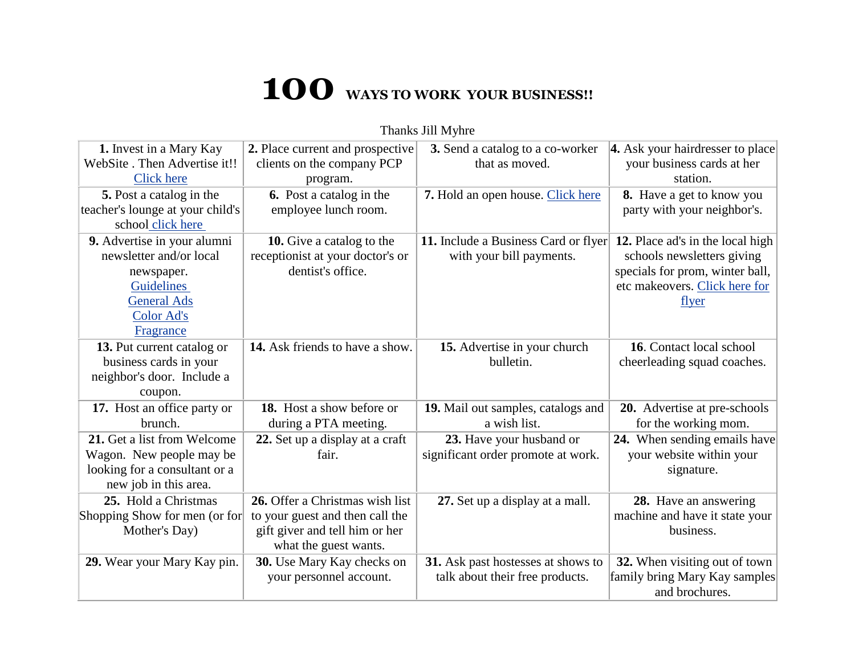## **100 WAYS TO WORK YOUR BUSINESS!!**

| 1. Invest in a Mary Kay          | 2. Place current and prospective | 3. Send a catalog to a co-worker     | 4. Ask your hairdresser to place |
|----------------------------------|----------------------------------|--------------------------------------|----------------------------------|
| WebSite . Then Advertise it!!    | clients on the company PCP       | that as moved.                       | your business cards at her       |
| <b>Click here</b>                | program.                         |                                      | station.                         |
| 5. Post a catalog in the         | <b>6.</b> Post a catalog in the  | 7. Hold an open house. Click here    | <b>8.</b> Have a get to know you |
| teacher's lounge at your child's | employee lunch room.             |                                      | party with your neighbor's.      |
| school click here                |                                  |                                      |                                  |
| 9. Advertise in your alumni      | 10. Give a catalog to the        | 11. Include a Business Card or flyer | 12. Place ad's in the local high |
| newsletter and/or local          | receptionist at your doctor's or | with your bill payments.             | schools newsletters giving       |
| newspaper.                       | dentist's office.                |                                      | specials for prom, winter ball,  |
| Guidelines                       |                                  |                                      | etc makeovers. Click here for    |
| <b>General Ads</b>               |                                  |                                      | flyer                            |
| <b>Color Ad's</b>                |                                  |                                      |                                  |
| Fragrance                        |                                  |                                      |                                  |
| 13. Put current catalog or       | 14. Ask friends to have a show.  | 15. Advertise in your church         | 16. Contact local school         |
| business cards in your           |                                  | bulletin.                            | cheerleading squad coaches.      |
| neighbor's door. Include a       |                                  |                                      |                                  |
| coupon.                          |                                  |                                      |                                  |
| 17. Host an office party or      | 18. Host a show before or        | 19. Mail out samples, catalogs and   | 20. Advertise at pre-schools     |
| brunch.                          | during a PTA meeting.            | a wish list.                         | for the working mom.             |
| 21. Get a list from Welcome      | 22. Set up a display at a craft  | 23. Have your husband or             | 24. When sending emails have     |
| Wagon. New people may be         | fair.                            | significant order promote at work.   | your website within your         |
| looking for a consultant or a    |                                  |                                      | signature.                       |
| new job in this area.            |                                  |                                      |                                  |
| 25. Hold a Christmas             | 26. Offer a Christmas wish list  | 27. Set up a display at a mall.      | 28. Have an answering            |
| Shopping Show for men (or for    | to your guest and then call the  |                                      | machine and have it state your   |
| Mother's Day)                    | gift giver and tell him or her   |                                      | business.                        |
|                                  | what the guest wants.            |                                      |                                  |
| 29. Wear your Mary Kay pin.      | 30. Use Mary Kay checks on       | 31. Ask past hostesses at shows to   | 32. When visiting out of town    |
|                                  | your personnel account.          | talk about their free products.      | family bring Mary Kay samples    |
|                                  |                                  |                                      | and brochures.                   |

Thanks Jill Myhre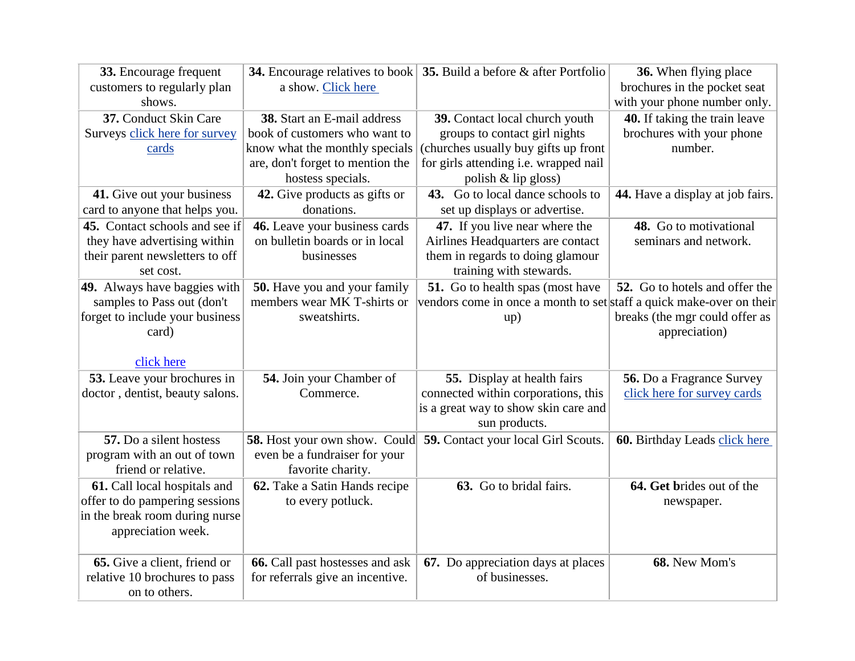| 33. Encourage frequent<br>customers to regularly plan | a show. Click here               | <b>34.</b> Encourage relatives to book $\vert$ <b>35.</b> Build a before $\&$ after Portfolio | 36. When flying place<br>brochures in the pocket seat |
|-------------------------------------------------------|----------------------------------|-----------------------------------------------------------------------------------------------|-------------------------------------------------------|
| shows.                                                |                                  |                                                                                               | with your phone number only.                          |
| 37. Conduct Skin Care                                 | 38. Start an E-mail address      | 39. Contact local church youth                                                                | 40. If taking the train leave                         |
| Surveys click here for survey                         | book of customers who want to    | groups to contact girl nights                                                                 | brochures with your phone                             |
| cards                                                 | know what the monthly specials   | (churches usually buy gifts up front                                                          | number.                                               |
|                                                       | are, don't forget to mention the | for girls attending i.e. wrapped nail                                                         |                                                       |
|                                                       | hostess specials.                | polish $&$ lip gloss)                                                                         |                                                       |
| 41. Give out your business                            | 42. Give products as gifts or    | 43. Go to local dance schools to                                                              | 44. Have a display at job fairs.                      |
| card to anyone that helps you.                        | donations.                       | set up displays or advertise.                                                                 |                                                       |
| 45. Contact schools and see if                        | 46. Leave your business cards    | 47. If you live near where the                                                                | 48. Go to motivational                                |
| they have advertising within                          | on bulletin boards or in local   | Airlines Headquarters are contact                                                             | seminars and network.                                 |
| their parent newsletters to off                       | businesses                       | them in regards to doing glamour                                                              |                                                       |
| set cost.                                             |                                  | training with stewards.                                                                       |                                                       |
| 49. Always have baggies with                          | 50. Have you and your family     | 51. Go to health spas (most have                                                              | 52. Go to hotels and offer the                        |
| samples to Pass out (don't                            | members wear MK T-shirts or      | vendors come in once a month to set staff a quick make-over on their                          |                                                       |
| forget to include your business                       | sweatshirts.                     | up)                                                                                           | breaks (the mgr could offer as                        |
| card)                                                 |                                  |                                                                                               | appreciation)                                         |
| click here                                            |                                  |                                                                                               |                                                       |
| 53. Leave your brochures in                           | 54. Join your Chamber of         | 55. Display at health fairs                                                                   | 56. Do a Fragrance Survey                             |
| doctor, dentist, beauty salons.                       | Commerce.                        | connected within corporations, this                                                           | click here for survey cards                           |
|                                                       |                                  | is a great way to show skin care and                                                          |                                                       |
|                                                       |                                  | sun products.                                                                                 |                                                       |
| 57. Do a silent hostess                               |                                  | <b>58.</b> Host your own show. Could <b>59.</b> Contact your local Girl Scouts.               | 60. Birthday Leads click here                         |
| program with an out of town                           | even be a fundraiser for your    |                                                                                               |                                                       |
| friend or relative.                                   | favorite charity.                |                                                                                               |                                                       |
| 61. Call local hospitals and                          | 62. Take a Satin Hands recipe    | 63. Go to bridal fairs.                                                                       | 64. Get brides out of the                             |
| offer to do pampering sessions                        | to every potluck.                |                                                                                               | newspaper.                                            |
| in the break room during nurse                        |                                  |                                                                                               |                                                       |
| appreciation week.                                    |                                  |                                                                                               |                                                       |
|                                                       |                                  |                                                                                               |                                                       |
| 65. Give a client, friend or                          | 66. Call past hostesses and ask  | 67. Do appreciation days at places                                                            | 68. New Mom's                                         |
| relative 10 brochures to pass                         | for referrals give an incentive. | of businesses.                                                                                |                                                       |
| on to others.                                         |                                  |                                                                                               |                                                       |